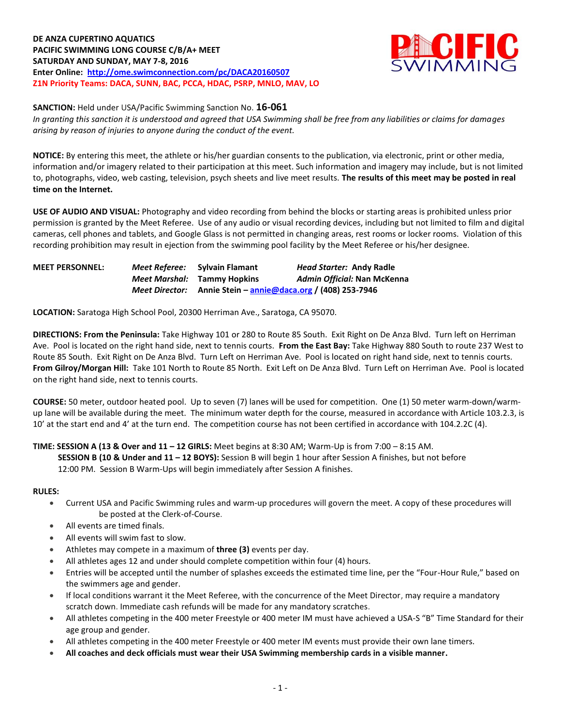**DE ANZA CUPERTINO AQUATICS PACIFIC SWIMMING LONG COURSE C/B/A+ MEET SATURDAY AND SUNDAY, MAY 7-8, 2016 Enter Online: <http://ome.swimconnection.com/pc/DACA20160507> Z1N Priority Teams: DACA, SUNN, BAC, PCCA, HDAC, PSRP, MNLO, MAV, LO**



**SANCTION:** Held under USA/Pacific Swimming Sanction No. **16-061**

*In granting this sanction it is understood and agreed that USA Swimming shall be free from any liabilities or claims for damages arising by reason of injuries to anyone during the conduct of the event.*

**NOTICE:** By entering this meet, the athlete or his/her guardian consents to the publication, via electronic, print or other media, information and/or imagery related to their participation at this meet. Such information and imagery may include, but is not limited to, photographs, video, web casting, television, psych sheets and live meet results. **The results of this meet may be posted in real time on the Internet.** 

**USE OF AUDIO AND VISUAL:** Photography and video recording from behind the blocks or starting areas is prohibited unless prior permission is granted by the Meet Referee. Use of any audio or visual recording devices, including but not limited to film and digital cameras, cell phones and tablets, and Google Glass is not permitted in changing areas, rest rooms or locker rooms. Violation of this recording prohibition may result in ejection from the swimming pool facility by the Meet Referee or his/her designee.

**MEET PERSONNEL:** *Meet Referee:* **Sylvain Flamant** *Head Starter:* **Andy Radle** *Meet Marshal:* **Tammy Hopkins** *Admin Official:* **Nan McKenna** *Meet Director:* **Annie Stein – [annie@daca.org](mailto:annie@daca.org) / (408) 253-7946**

**LOCATION:** Saratoga High School Pool, 20300 Herriman Ave., Saratoga, CA 95070.

**DIRECTIONS: From the Peninsula:** Take Highway 101 or 280 to Route 85 South. Exit Right on De Anza Blvd. Turn left on Herriman Ave. Pool is located on the right hand side, next to tennis courts. **From the East Bay:** Take Highway 880 South to route 237 West to Route 85 South. Exit Right on De Anza Blvd. Turn Left on Herriman Ave. Pool is located on right hand side, next to tennis courts. **From Gilroy/Morgan Hill:** Take 101 North to Route 85 North. Exit Left on De Anza Blvd. Turn Left on Herriman Ave. Pool is located on the right hand side, next to tennis courts.

**COURSE:** 50 meter, outdoor heated pool. Up to seven (7) lanes will be used for competition. One (1) 50 meter warm-down/warmup lane will be available during the meet. The minimum water depth for the course, measured in accordance with Article 103.2.3, is 10' at the start end and 4' at the turn end. The competition course has not been certified in accordance with 104.2.2C (4).

## **TIME: SESSION A (13 & Over and 11 – 12 GIRLS:** Meet begins at 8:30 AM; Warm-Up is from 7:00 – 8:15 AM.

 **SESSION B (10 & Under and 11 – 12 BOYS):** Session B will begin 1 hour after Session A finishes, but not before 12:00 PM. Session B Warm-Ups will begin immediately after Session A finishes.

### **RULES:**

- Current USA and Pacific Swimming rules and warm-up procedures will govern the meet. A copy of these procedures will be posted at the Clerk-of-Course.
- All events are timed finals.
- All events will swim fast to slow.
- Athletes may compete in a maximum of **three (3)** events per day.
- All athletes ages 12 and under should complete competition within four (4) hours.
- Entries will be accepted until the number of splashes exceeds the estimated time line, per the "Four-Hour Rule," based on the swimmers age and gender.
- If local conditions warrant it the Meet Referee, with the concurrence of the Meet Director, may require a mandatory scratch down. Immediate cash refunds will be made for any mandatory scratches.
- All athletes competing in the 400 meter Freestyle or 400 meter IM must have achieved a USA-S "B" Time Standard for their age group and gender.
- All athletes competing in the 400 meter Freestyle or 400 meter IM events must provide their own lane timers.
- **All coaches and deck officials must wear their USA Swimming membership cards in a visible manner.**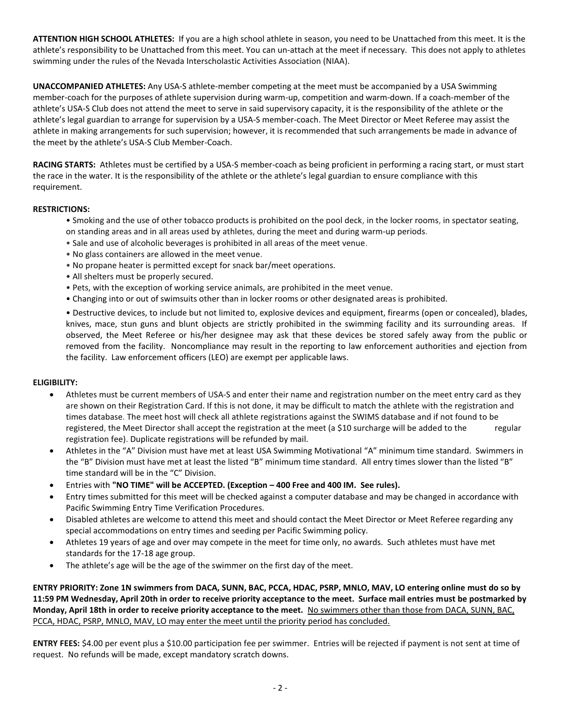**ATTENTION HIGH SCHOOL ATHLETES:** If you are a high school athlete in season, you need to be Unattached from this meet. It is the athlete's responsibility to be Unattached from this meet. You can un-attach at the meet if necessary. This does not apply to athletes swimming under the rules of the Nevada Interscholastic Activities Association (NIAA).

**UNACCOMPANIED ATHLETES:** Any USA-S athlete-member competing at the meet must be accompanied by a USA Swimming member-coach for the purposes of athlete supervision during warm-up, competition and warm-down. If a coach-member of the athlete's USA-S Club does not attend the meet to serve in said supervisory capacity, it is the responsibility of the athlete or the athlete's legal guardian to arrange for supervision by a USA-S member-coach. The Meet Director or Meet Referee may assist the athlete in making arrangements for such supervision; however, it is recommended that such arrangements be made in advance of the meet by the athlete's USA-S Club Member-Coach.

**RACING STARTS:** Athletes must be certified by a USA-S member-coach as being proficient in performing a racing start, or must start the race in the water. It is the responsibility of the athlete or the athlete's legal guardian to ensure compliance with this requirement.

## **RESTRICTIONS:**

- Smoking and the use of other tobacco products is prohibited on the pool deck, in the locker rooms, in spectator seating, on standing areas and in all areas used by athletes, during the meet and during warm-up periods.
- Sale and use of alcoholic beverages is prohibited in all areas of the meet venue.
- No glass containers are allowed in the meet venue.
- No propane heater is permitted except for snack bar/meet operations.
- All shelters must be properly secured.
- Pets, with the exception of working service animals, are prohibited in the meet venue.
- Changing into or out of swimsuits other than in locker rooms or other designated areas is prohibited.

• Destructive devices, to include but not limited to, explosive devices and equipment, firearms (open or concealed), blades, knives, mace, stun guns and blunt objects are strictly prohibited in the swimming facility and its surrounding areas. If observed, the Meet Referee or his/her designee may ask that these devices be stored safely away from the public or removed from the facility. Noncompliance may result in the reporting to law enforcement authorities and ejection from the facility. Law enforcement officers (LEO) are exempt per applicable laws.

### **ELIGIBILITY:**

- Athletes must be current members of USA-S and enter their name and registration number on the meet entry card as they are shown on their Registration Card. If this is not done, it may be difficult to match the athlete with the registration and times database. The meet host will check all athlete registrations against the SWIMS database and if not found to be registered, the Meet Director shall accept the registration at the meet (a \$10 surcharge will be added to the regular registration fee). Duplicate registrations will be refunded by mail.
- Athletes in the "A" Division must have met at least USA Swimming Motivational "A" minimum time standard. Swimmers in the "B" Division must have met at least the listed "B" minimum time standard. All entry times slower than the listed "B" time standard will be in the "C" Division.
- Entries with **"NO TIME" will be ACCEPTED. (Exception – 400 Free and 400 IM. See rules).**
- Entry times submitted for this meet will be checked against a computer database and may be changed in accordance with Pacific Swimming Entry Time Verification Procedures.
- Disabled athletes are welcome to attend this meet and should contact the Meet Director or Meet Referee regarding any special accommodations on entry times and seeding per Pacific Swimming policy.
- Athletes 19 years of age and over may compete in the meet for time only, no awards. Such athletes must have met standards for the 17-18 age group.
- The athlete's age will be the age of the swimmer on the first day of the meet.

**ENTRY PRIORITY: Zone 1N swimmers from DACA, SUNN, BAC, PCCA, HDAC, PSRP, MNLO, MAV, LO entering online must do so by 11:59 PM Wednesday, April 20th in order to receive priority acceptance to the meet. Surface mail entries must be postmarked by Monday, April 18th in order to receive priority acceptance to the meet.** No swimmers other than those from DACA, SUNN, BAC, PCCA, HDAC, PSRP, MNLO, MAV, LO may enter the meet until the priority period has concluded.

**ENTRY FEES:** \$4.00 per event plus a \$10.00 participation fee per swimmer. Entries will be rejected if payment is not sent at time of request. No refunds will be made, except mandatory scratch downs.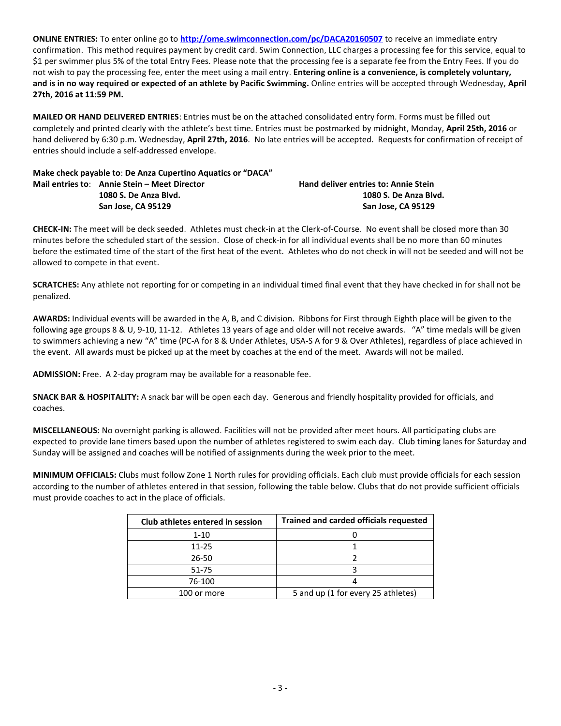**ONLINE ENTRIES:** To enter online go to **<http://ome.swimconnection.com/pc/DACA20160507>** to receive an immediate entry confirmation. This method requires payment by credit card. Swim Connection, LLC charges a processing fee for this service, equal to \$1 per swimmer plus 5% of the total Entry Fees. Please note that the processing fee is a separate fee from the Entry Fees. If you do not wish to pay the processing fee, enter the meet using a mail entry. **Entering online is a convenience, is completely voluntary, and is in no way required or expected of an athlete by Pacific Swimming.** Online entries will be accepted through Wednesday, **April 27th, 2016 at 11:59 PM.**

**MAILED OR HAND DELIVERED ENTRIES**: Entries must be on the attached consolidated entry form. Forms must be filled out completely and printed clearly with the athlete's best time. Entries must be postmarked by midnight, Monday, **April 25th, 2016** or hand delivered by 6:30 p.m. Wednesday, **April 27th, 2016**. No late entries will be accepted. Requests for confirmation of receipt of entries should include a self-addressed envelope.

| Make check payable to: De Anza Cupertino Aquatics or "DACA" |                                             |
|-------------------------------------------------------------|---------------------------------------------|
| Mail entries to: Annie Stein – Meet Director                | <b>Hand deliver entries to: Annie Stein</b> |
| 1080 S. De Anza Blyd.                                       | 1080 S. De Anza Blvd.                       |
| San Jose, CA 95129                                          | San Jose. CA 95129                          |

**CHECK-IN:** The meet will be deck seeded. Athletes must check-in at the Clerk-of-Course. No event shall be closed more than 30 minutes before the scheduled start of the session. Close of check-in for all individual events shall be no more than 60 minutes before the estimated time of the start of the first heat of the event. Athletes who do not check in will not be seeded and will not be allowed to compete in that event.

**SCRATCHES:** Any athlete not reporting for or competing in an individual timed final event that they have checked in for shall not be penalized.

**AWARDS:** Individual events will be awarded in the A, B, and C division. Ribbons for First through Eighth place will be given to the following age groups 8 & U, 9-10, 11-12. Athletes 13 years of age and older will not receive awards. "A" time medals will be given to swimmers achieving a new "A" time (PC-A for 8 & Under Athletes, USA-S A for 9 & Over Athletes), regardless of place achieved in the event. All awards must be picked up at the meet by coaches at the end of the meet. Awards will not be mailed.

**ADMISSION:** Free. A 2-day program may be available for a reasonable fee.

**SNACK BAR & HOSPITALITY:** A snack bar will be open each day. Generous and friendly hospitality provided for officials, and coaches.

**MISCELLANEOUS:** No overnight parking is allowed. Facilities will not be provided after meet hours. All participating clubs are expected to provide lane timers based upon the number of athletes registered to swim each day. Club timing lanes for Saturday and Sunday will be assigned and coaches will be notified of assignments during the week prior to the meet.

**MINIMUM OFFICIALS:** Clubs must follow Zone 1 North rules for providing officials. Each club must provide officials for each session according to the number of athletes entered in that session, following the table below. Clubs that do not provide sufficient officials must provide coaches to act in the place of officials.

| Club athletes entered in session | <b>Trained and carded officials requested</b> |  |  |  |  |  |  |
|----------------------------------|-----------------------------------------------|--|--|--|--|--|--|
| $1 - 10$                         |                                               |  |  |  |  |  |  |
| 11-25                            |                                               |  |  |  |  |  |  |
| 26-50                            |                                               |  |  |  |  |  |  |
| 51-75                            |                                               |  |  |  |  |  |  |
| 76-100                           |                                               |  |  |  |  |  |  |
| 100 or more                      | 5 and up (1 for every 25 athletes)            |  |  |  |  |  |  |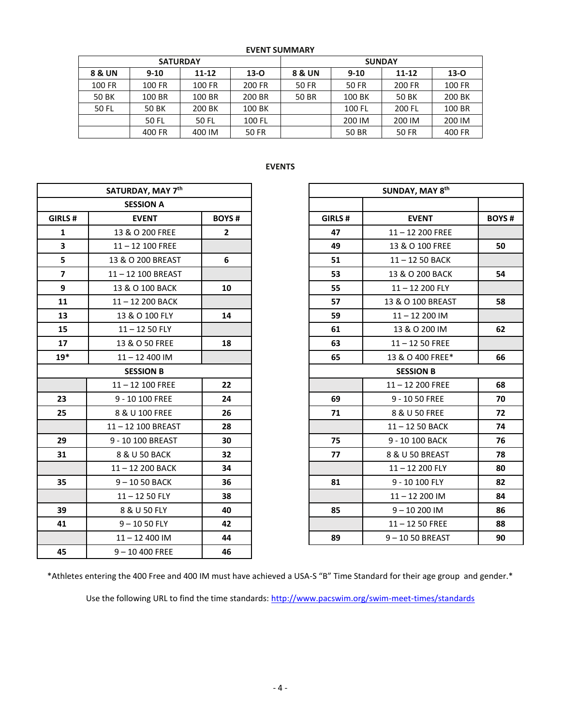| <b>EVENT SUMMARY</b> |                 |           |          |                                             |        |        |               |  |  |  |
|----------------------|-----------------|-----------|----------|---------------------------------------------|--------|--------|---------------|--|--|--|
|                      | <b>SATURDAY</b> |           |          | <b>SUNDAY</b>                               |        |        |               |  |  |  |
| <b>8 &amp; UN</b>    | $9-10$          | $11 - 12$ | $13 - 0$ | $13 - 0$<br>$11 - 12$<br>8 & UN<br>$9 - 10$ |        |        |               |  |  |  |
| 100 FR               | 100 FR          | 100 FR    | 200 FR   | 50 FR                                       | 50 FR  | 200 FR | <b>100 FR</b> |  |  |  |
| 50 BK                | 100 BR          | 100 BR    | 200 BR   | <b>50 BR</b>                                | 100 BK | 50 BK  | 200 BK        |  |  |  |
| 50 FL                | 50 BK           | 200 BK    | 100 BK   |                                             | 100 FL | 200 FL | 100 BR        |  |  |  |
|                      | 50 FL           | 50 FL     | 100 FL   |                                             | 200 IM | 200 IM | 200 IM        |  |  |  |
|                      | 400 FR          | 400 IM    | 50 FR    |                                             | 50 BR  | 50 FR  | 400 FR        |  |  |  |

# **EVENTS**

|                         | SATURDAY, MAY 7th  |              | SUNDAY, MAY 8th  |                    |
|-------------------------|--------------------|--------------|------------------|--------------------|
|                         | <b>SESSION A</b>   |              |                  |                    |
| GIRLS #                 | <b>EVENT</b>       | <b>BOYS#</b> | GIRLS#           | <b>EVENT</b>       |
| 1                       | 13 & O 200 FREE    | $\mathbf{2}$ | 47               | 11-12 200 FREE     |
| $\overline{\mathbf{3}}$ | $11 - 12$ 100 FREE |              | 49               | 13 & O 100 FREE    |
| 5                       | 13 & O 200 BREAST  | 6            | 51               | 11-12 50 BACK      |
| $\overline{7}$          | 11-12 100 BREAST   |              | 53               | 13 & O 200 BACK    |
| 9                       | 13 & O 100 BACK    | 10           | 55               | 11-12 200 FLY      |
| 11                      | 11-12 200 BACK     |              | 57               | 13 & O 100 BREAS   |
| 13                      | 13 & O 100 FLY     | 14           | 59               | $11 - 12200$ IM    |
| 15                      | $11 - 1250$ FLY    |              | 61               | 13 & O 200 IM      |
| 17                      | 13 & O 50 FREE     | 18           | 63               | $11 - 1250$ FREE   |
| $19*$                   | $11 - 12400$ IM    |              | 65               | 13 & O 400 FREE*   |
|                         | <b>SESSION B</b>   |              | <b>SESSION B</b> |                    |
|                         | $11 - 12$ 100 FREE | 22           |                  | $11 - 12$ 200 FREE |
| 23                      | 9 - 10 100 FREE    | 24           | 69               | 9 - 10 50 FREE     |
| 25                      | 8 & U 100 FREE     | 26           | 71               | 8 & U 50 FREE      |
|                         | 11-12 100 BREAST   | 28           |                  | 11-12 50 BACK      |
| 29                      | 9 - 10 100 BREAST  | 30           | 75               | 9 - 10 100 BACK    |
| 31                      | 8 & U 50 BACK      | 32           | 77               | 8 & U 50 BREAST    |
|                         | 11-12 200 BACK     | 34           |                  | 11-12 200 FLY      |
| 35                      | $9 - 1050$ BACK    | 36           | 81               | 9 - 10 100 FLY     |
|                         | $11 - 1250$ FLY    | 38           |                  | $11 - 12200$ IM    |
| 39                      | 8 & U 50 FLY       | 40           | 85               | $9 - 10200$ IM     |
| 41                      | $9 - 1050$ FLY     | 42           |                  | $11 - 1250$ FREE   |
|                         | $11 - 12400$ IM    | 44           | 89               | 9-1050 BREAST      |
| 45                      | $9 - 10400$ FREE   | 46           |                  |                    |

| SATURDAY, MAY 7th       |                    |                |
|-------------------------|--------------------|----------------|
|                         | <b>SESSION A</b>   |                |
| GIRLS#                  | <b>EVENT</b>       | <b>BOYS#</b>   |
| $\mathbf{1}$            | 13 & O 200 FREE    | $\overline{2}$ |
| $\overline{\mathbf{3}}$ | $11 - 12$ 100 FREE |                |
| 5                       | 13 & O 200 BREAST  | 6              |
| $\overline{7}$          | 11-12 100 BREAST   |                |
| 9                       | 13 & O 100 BACK    | 10             |
| 11                      | 11-12 200 BACK     |                |
| 13                      | 13 & O 100 FLY     | 14             |
| 15                      | $11 - 1250$ FLY    |                |
| 17                      | 13 & O 50 FREE     | 18             |
| $19*$                   | $11 - 12400$ IM    |                |
|                         | <b>SESSION B</b>   |                |
|                         | $11 - 12$ 100 FREE | 22             |
| 23                      | 9 - 10 100 FREE    | 24             |
| 25                      | 8 & U 100 FREE     | 26             |
|                         | 11-12 100 BREAST   | 28             |
| 29                      | 9 - 10 100 BREAST  | 30             |
| 31                      | 8 & U 50 BACK      | 32             |
|                         | 11-12 200 BACK     | 34             |
| 35                      | $9 - 1050$ BACK    | 36             |
|                         | $11 - 1250$ FLY    | 38             |
| 39                      | 8 & U 50 FLY       | 40             |
| 41                      | $9 - 1050$ FLY     | 42             |
|                         | $11 - 12$ 400 IM   | 44             |

\*Athletes entering the 400 Free and 400 IM must have achieved a USA-S "B" Time Standard for their age group and gender.\*

Use the following URL to find the time standards: <http://www.pacswim.org/swim-meet-times/standards>